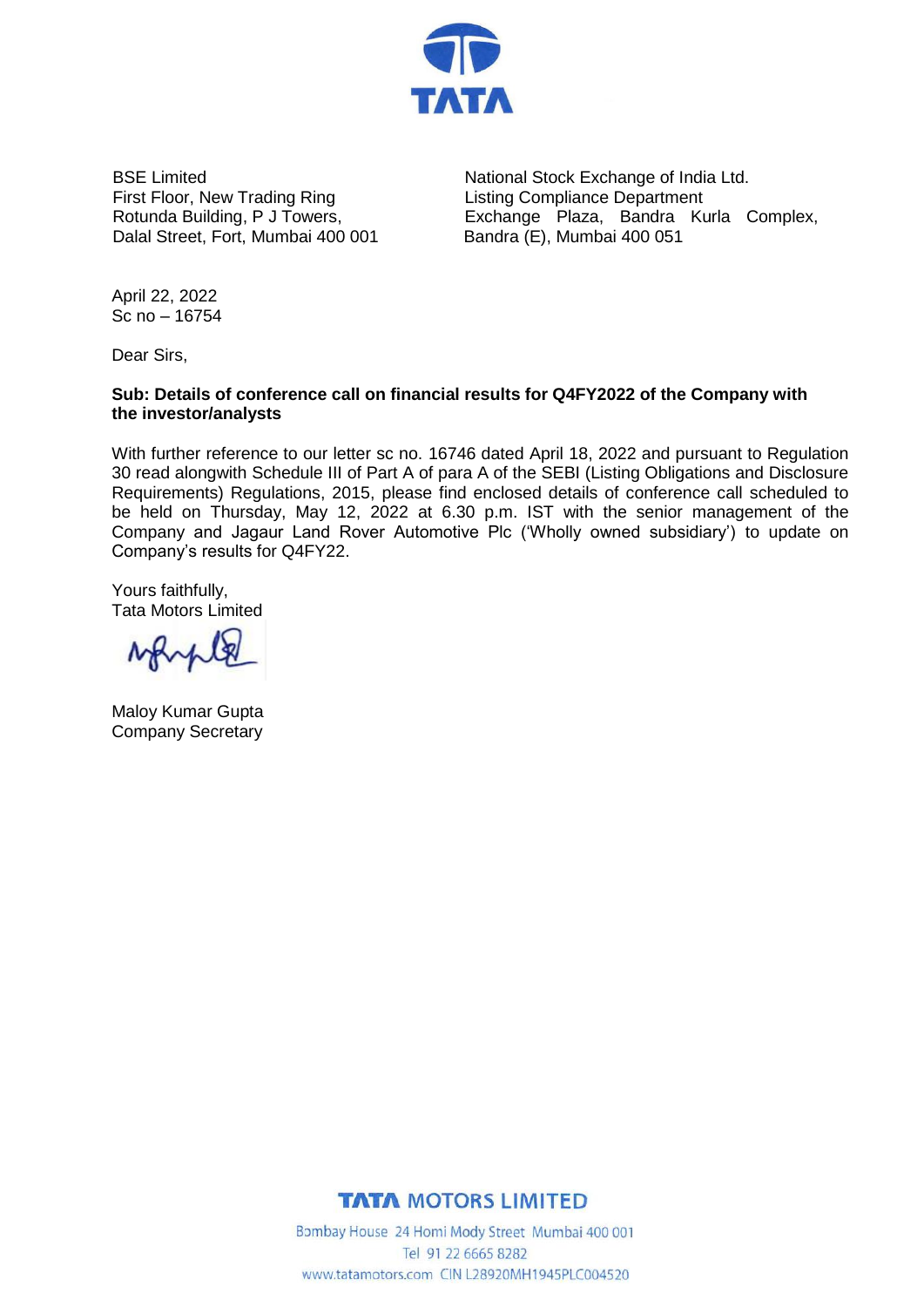

BSE Limited First Floor, New Trading Ring Rotunda Building, P J Towers, Dalal Street, Fort, Mumbai 400 001

National Stock Exchange of India Ltd. Listing Compliance Department Exchange Plaza, Bandra Kurla Complex, Bandra (E), Mumbai 400 051

April 22, 2022 Sc no – 16754

Dear Sirs,

## **Sub: Details of conference call on financial results for Q4FY2022 of the Company with the investor/analysts**

With further reference to our letter sc no. 16746 dated April 18, 2022 and pursuant to Regulation 30 read alongwith Schedule III of Part A of para A of the SEBI (Listing Obligations and Disclosure Requirements) Regulations, 2015, please find enclosed details of conference call scheduled to be held on Thursday, May 12, 2022 at 6.30 p.m. IST with the senior management of the Company and Jagaur Land Rover Automotive Plc ('Wholly owned subsidiary') to update on Company's results for Q4FY22.

Yours faithfully, Tata Motors Limited

MAMA

Maloy Kumar Gupta Company Secretary



Bombay House 24 Homi Mody Street Mumbai 400 001 Tel 91 22 6665 8282 www.tatamotors.com CIN L28920MH1945PLC004520